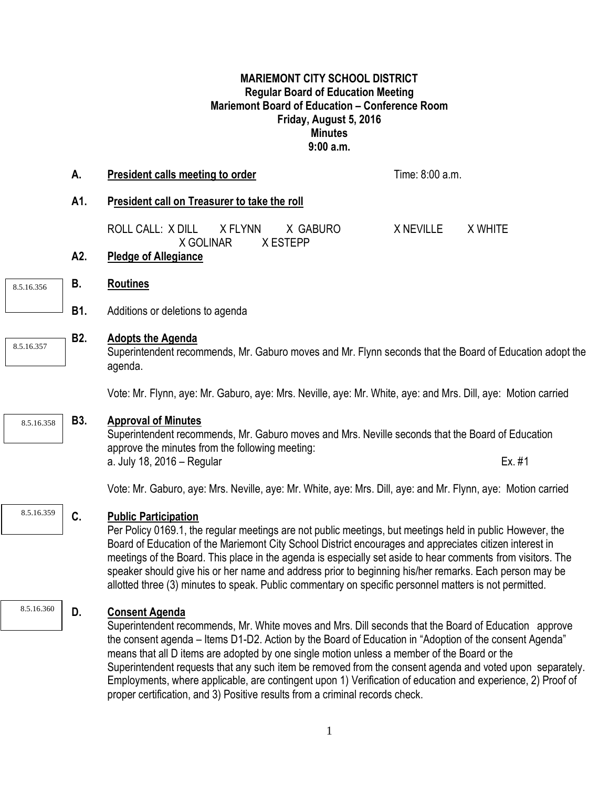## **MARIEMONT CITY SCHOOL DISTRICT Regular Board of Education Meeting Mariemont Board of Education – Conference Room Friday, August 5, 2016 Minutes 9:00 a.m.**

|            | А.               | <b>President calls meeting to order</b>                                                                                                                                                                                                                                                                                                                                                                                                                                                                                                                                                                                                           | Time: 8:00 a.m. |         |  |
|------------|------------------|---------------------------------------------------------------------------------------------------------------------------------------------------------------------------------------------------------------------------------------------------------------------------------------------------------------------------------------------------------------------------------------------------------------------------------------------------------------------------------------------------------------------------------------------------------------------------------------------------------------------------------------------------|-----------------|---------|--|
|            | A1.              | President call on Treasurer to take the roll                                                                                                                                                                                                                                                                                                                                                                                                                                                                                                                                                                                                      |                 |         |  |
|            |                  | <b>ROLL CALL: X DILL</b><br>X FLYNN<br>X GABURO<br>X GOLINAR<br>X ESTEPP                                                                                                                                                                                                                                                                                                                                                                                                                                                                                                                                                                          | X NEVILLE       | X WHITE |  |
|            | A2.              | <b>Pledge of Allegiance</b>                                                                                                                                                                                                                                                                                                                                                                                                                                                                                                                                                                                                                       |                 |         |  |
| 8.5.16.356 | В.               | <b>Routines</b>                                                                                                                                                                                                                                                                                                                                                                                                                                                                                                                                                                                                                                   |                 |         |  |
|            | B1.              | Additions or deletions to agenda                                                                                                                                                                                                                                                                                                                                                                                                                                                                                                                                                                                                                  |                 |         |  |
| 8.5.16.357 | B <sub>2</sub> . | <b>Adopts the Agenda</b><br>Superintendent recommends, Mr. Gaburo moves and Mr. Flynn seconds that the Board of Education adopt the<br>agenda.                                                                                                                                                                                                                                                                                                                                                                                                                                                                                                    |                 |         |  |
|            |                  | Vote: Mr. Flynn, aye: Mr. Gaburo, aye: Mrs. Neville, aye: Mr. White, aye: and Mrs. Dill, aye: Motion carried                                                                                                                                                                                                                                                                                                                                                                                                                                                                                                                                      |                 |         |  |
| 8.5.16.358 | <b>B3.</b>       | <b>Approval of Minutes</b><br>Superintendent recommends, Mr. Gaburo moves and Mrs. Neville seconds that the Board of Education<br>approve the minutes from the following meeting:                                                                                                                                                                                                                                                                                                                                                                                                                                                                 |                 |         |  |
|            |                  | a. July 18, 2016 - Regular                                                                                                                                                                                                                                                                                                                                                                                                                                                                                                                                                                                                                        |                 | Ex. #1  |  |
|            |                  | Vote: Mr. Gaburo, aye: Mrs. Neville, aye: Mr. White, aye: Mrs. Dill, aye: and Mr. Flynn, aye: Motion carried                                                                                                                                                                                                                                                                                                                                                                                                                                                                                                                                      |                 |         |  |
| 8.5.16.359 | C.               | <b>Public Participation</b><br>Per Policy 0169.1, the regular meetings are not public meetings, but meetings held in public However, the<br>Board of Education of the Mariemont City School District encourages and appreciates citizen interest in<br>meetings of the Board. This place in the agenda is especially set aside to hear comments from visitors. The<br>speaker should give his or her name and address prior to beginning his/her remarks. Each person may be<br>allotted three (3) minutes to speak. Public commentary on specific personnel matters is not permitted.                                                            |                 |         |  |
| 8.5.16.360 | D.               | <b>Consent Agenda</b><br>Superintendent recommends, Mr. White moves and Mrs. Dill seconds that the Board of Education approve<br>the consent agenda - Items D1-D2. Action by the Board of Education in "Adoption of the consent Agenda"<br>means that all D items are adopted by one single motion unless a member of the Board or the<br>Superintendent requests that any such item be removed from the consent agenda and voted upon separately.<br>Employments, where applicable, are contingent upon 1) Verification of education and experience, 2) Proof of<br>proper certification, and 3) Positive results from a criminal records check. |                 |         |  |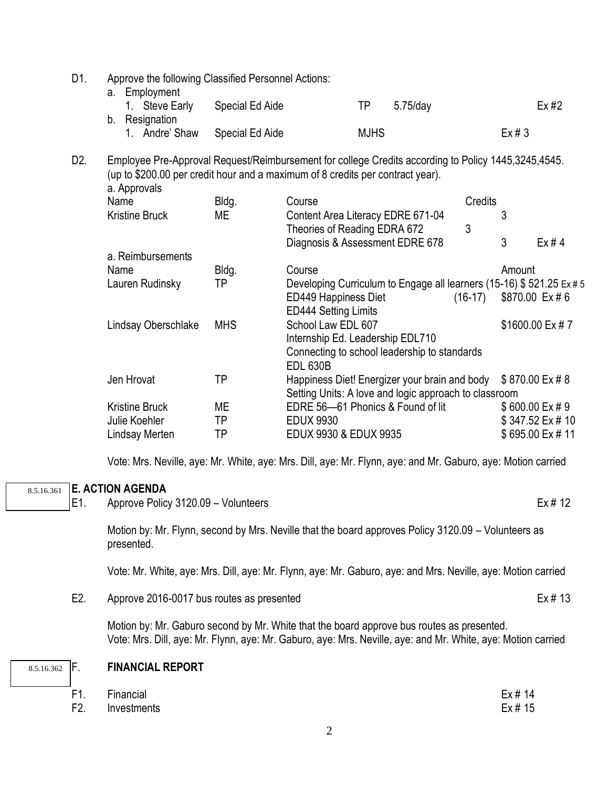D1. Approve the following Classified Personnel Actions:

| a. Employment  |                 |                |      |
|----------------|-----------------|----------------|------|
| 1. Steve Early | Special Ed Aide | ТP<br>5.75/day | Ex#2 |
| b. Resignation |                 |                |      |
| 1. Andre' Shaw | Special Ed Aide | <b>MJHS</b>    | Ex#3 |

D2. Employee Pre-Approval Request/Reimbursement for college Credits according to Policy 1445,3245,4545. (up to \$200.00 per credit hour and a maximum of 8 credits per contract year).

| a. Approvals          |            |                                                                     |                           |        |                 |
|-----------------------|------------|---------------------------------------------------------------------|---------------------------|--------|-----------------|
| Name                  | Bldg.      | Course                                                              | Credits                   |        |                 |
| <b>Kristine Bruck</b> | МE         | Content Area Literacy EDRE 671-04                                   |                           |        |                 |
|                       |            | Theories of Reading EDRA 672                                        | 3                         |        |                 |
|                       |            | Diagnosis & Assessment EDRE 678                                     |                           | 3      | Ex#4            |
| a. Reimbursements     |            |                                                                     |                           |        |                 |
| Name                  | Bldg.      | Course                                                              |                           | Amount |                 |
| Lauren Rudinsky       | ΤP         | Developing Curriculum to Engage all learners (15-16) \$521.25 Ex #5 |                           |        |                 |
|                       |            | ED449 Happiness Diet                                                | $(16-17)$ \$870.00 Ex # 6 |        |                 |
|                       |            | <b>ED444 Setting Limits</b>                                         |                           |        |                 |
| Lindsay Oberschlake   | <b>MHS</b> | School Law EDL 607                                                  |                           |        | \$1600.00 Ex #7 |
|                       |            | Internship Ed. Leadership EDL710                                    |                           |        |                 |
|                       |            | Connecting to school leadership to standards                        |                           |        |                 |
|                       |            | <b>EDL 630B</b>                                                     |                           |        |                 |
| Jen Hrovat            | ΤP         | Happiness Diet! Energizer your brain and body                       |                           |        | \$870.00 Ex #8  |
|                       |            | Setting Units: A love and logic approach to classroom               |                           |        |                 |
| <b>Kristine Bruck</b> | МE         | EDRE 56-61 Phonics & Found of lit                                   |                           |        | \$600.00 Ex # 9 |
| Julie Koehler         | TP         | <b>EDUX 9930</b>                                                    |                           |        | \$347.52 Ex #10 |
| Lindsay Merten        | ΤP         | EDUX 9930 & EDUX 9935                                               |                           |        | \$695.00 Ex #11 |
|                       |            |                                                                     |                           |        |                 |

Vote: Mrs. Neville, aye: Mr. White, aye: Mrs. Dill, aye: Mr. Flynn, aye: and Mr. Gaburo, aye: Motion carried

## **E. ACTION AGENDA**  8.5.16.361

E1. Approve Policy 3120.09 – Volunteers **Ex** # 12

Motion by: Mr. Flynn, second by Mrs. Neville that the board approves Policy 3120.09 – Volunteers as presented.

Vote: Mr. White, aye: Mrs. Dill, aye: Mr. Flynn, aye: Mr. Gaburo, aye: and Mrs. Neville, aye: Motion carried

E2. Approve 2016-0017 bus routes as presented Ex # 13

Motion by: Mr. Gaburo second by Mr. White that the board approve bus routes as presented. Vote: Mrs. Dill, aye: Mr. Flynn, aye: Mr. Gaburo, aye: Mrs. Neville, aye: and Mr. White, aye: Motion carried

| 8.5.16.362 | ۱F |
|------------|----|
|------------|----|

## F. **FINANCIAL REPORT**

| F1. Financial   | Ex # 14 |
|-----------------|---------|
| F2. Investments | Ex # 15 |